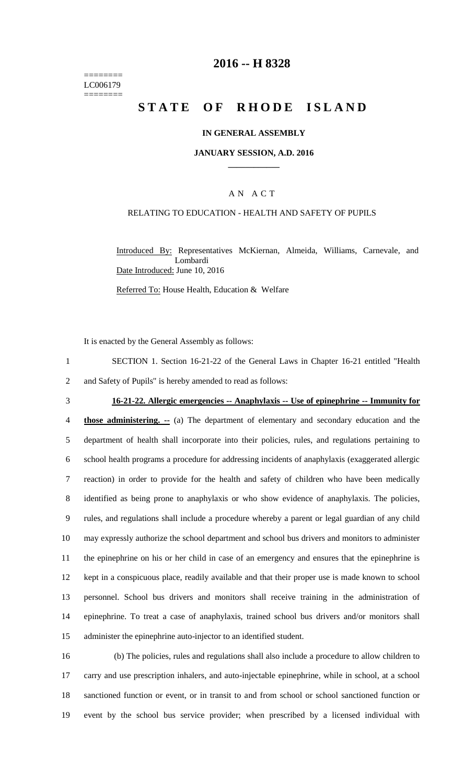======== LC006179 ========

# **2016 -- H 8328**

# **STATE OF RHODE ISLAND**

#### **IN GENERAL ASSEMBLY**

#### **JANUARY SESSION, A.D. 2016 \_\_\_\_\_\_\_\_\_\_\_\_**

#### A N A C T

#### RELATING TO EDUCATION - HEALTH AND SAFETY OF PUPILS

Introduced By: Representatives McKiernan, Almeida, Williams, Carnevale, and Lombardi Date Introduced: June 10, 2016

Referred To: House Health, Education & Welfare

It is enacted by the General Assembly as follows:

- 1 SECTION 1. Section 16-21-22 of the General Laws in Chapter 16-21 entitled "Health 2 and Safety of Pupils" is hereby amended to read as follows:
- 

#### 3 **16-21-22. Allergic emergencies -- Anaphylaxis -- Use of epinephrine -- Immunity for**

 **those administering. --** (a) The department of elementary and secondary education and the department of health shall incorporate into their policies, rules, and regulations pertaining to school health programs a procedure for addressing incidents of anaphylaxis (exaggerated allergic reaction) in order to provide for the health and safety of children who have been medically identified as being prone to anaphylaxis or who show evidence of anaphylaxis. The policies, rules, and regulations shall include a procedure whereby a parent or legal guardian of any child may expressly authorize the school department and school bus drivers and monitors to administer the epinephrine on his or her child in case of an emergency and ensures that the epinephrine is kept in a conspicuous place, readily available and that their proper use is made known to school personnel. School bus drivers and monitors shall receive training in the administration of epinephrine. To treat a case of anaphylaxis, trained school bus drivers and/or monitors shall administer the epinephrine auto-injector to an identified student.

 (b) The policies, rules and regulations shall also include a procedure to allow children to carry and use prescription inhalers, and auto-injectable epinephrine, while in school, at a school sanctioned function or event, or in transit to and from school or school sanctioned function or event by the school bus service provider; when prescribed by a licensed individual with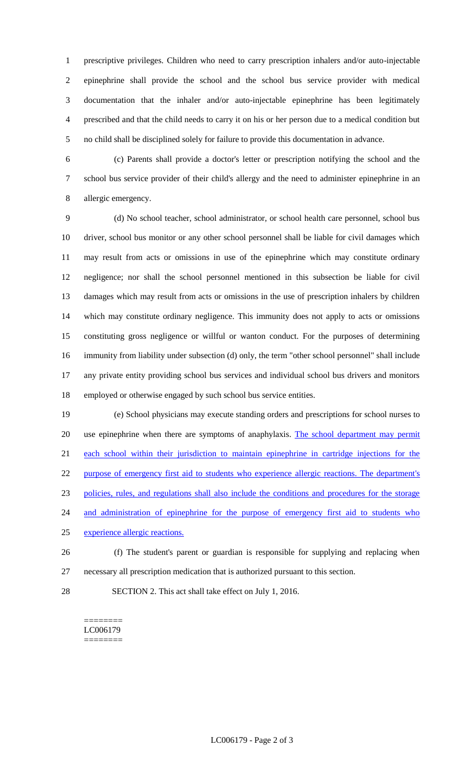prescriptive privileges. Children who need to carry prescription inhalers and/or auto-injectable epinephrine shall provide the school and the school bus service provider with medical documentation that the inhaler and/or auto-injectable epinephrine has been legitimately prescribed and that the child needs to carry it on his or her person due to a medical condition but no child shall be disciplined solely for failure to provide this documentation in advance.

 (c) Parents shall provide a doctor's letter or prescription notifying the school and the school bus service provider of their child's allergy and the need to administer epinephrine in an allergic emergency.

 (d) No school teacher, school administrator, or school health care personnel, school bus driver, school bus monitor or any other school personnel shall be liable for civil damages which may result from acts or omissions in use of the epinephrine which may constitute ordinary negligence; nor shall the school personnel mentioned in this subsection be liable for civil damages which may result from acts or omissions in the use of prescription inhalers by children which may constitute ordinary negligence. This immunity does not apply to acts or omissions constituting gross negligence or willful or wanton conduct. For the purposes of determining immunity from liability under subsection (d) only, the term "other school personnel" shall include any private entity providing school bus services and individual school bus drivers and monitors employed or otherwise engaged by such school bus service entities.

 (e) School physicians may execute standing orders and prescriptions for school nurses to 20 use epinephrine when there are symptoms of anaphylaxis. The school department may permit each school within their jurisdiction to maintain epinephrine in cartridge injections for the 22 purpose of emergency first aid to students who experience allergic reactions. The department's policies, rules, and regulations shall also include the conditions and procedures for the storage 24 and administration of epinephrine for the purpose of emergency first aid to students who experience allergic reactions. (f) The student's parent or guardian is responsible for supplying and replacing when

- necessary all prescription medication that is authorized pursuant to this section.
- SECTION 2. This act shall take effect on July 1, 2016.

======== LC006179 ========